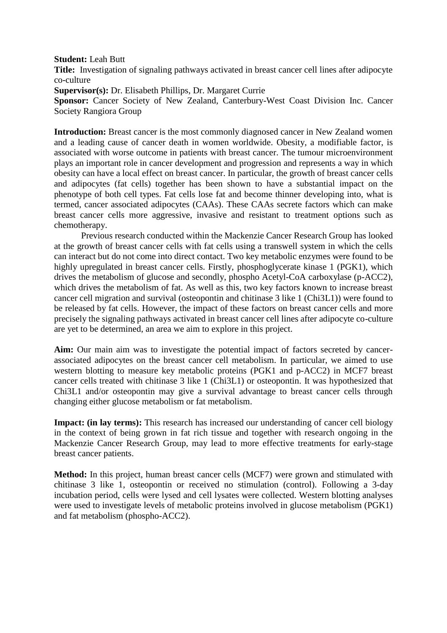**Student:** Leah Butt

**Title:** Investigation of signaling pathways activated in breast cancer cell lines after adipocyte co-culture

**Supervisor(s):** Dr. Elisabeth Phillips, Dr. Margaret Currie

**Sponsor:** Cancer Society of New Zealand, Canterbury-West Coast Division Inc. Cancer Society Rangiora Group

**Introduction:** Breast cancer is the most commonly diagnosed cancer in New Zealand women and a leading cause of cancer death in women worldwide. Obesity, a modifiable factor, is associated with worse outcome in patients with breast cancer. The tumour microenvironment plays an important role in cancer development and progression and represents a way in which obesity can have a local effect on breast cancer. In particular, the growth of breast cancer cells and adipocytes (fat cells) together has been shown to have a substantial impact on the phenotype of both cell types. Fat cells lose fat and become thinner developing into, what is termed, cancer associated adipocytes (CAAs). These CAAs secrete factors which can make breast cancer cells more aggressive, invasive and resistant to treatment options such as chemotherapy.

Previous research conducted within the Mackenzie Cancer Research Group has looked at the growth of breast cancer cells with fat cells using a transwell system in which the cells can interact but do not come into direct contact. Two key metabolic enzymes were found to be highly upregulated in breast cancer cells. Firstly, phosphoglycerate kinase 1 (PGK1), which drives the metabolism of glucose and secondly, phospho Acetyl-CoA carboxylase (p-ACC2), which drives the metabolism of fat. As well as this, two key factors known to increase breast cancer cell migration and survival (osteopontin and chitinase 3 like 1 (Chi3L1)) were found to be released by fat cells. However, the impact of these factors on breast cancer cells and more precisely the signaling pathways activated in breast cancer cell lines after adipocyte co-culture are yet to be determined, an area we aim to explore in this project.

**Aim:** Our main aim was to investigate the potential impact of factors secreted by cancerassociated adipocytes on the breast cancer cell metabolism. In particular, we aimed to use western blotting to measure key metabolic proteins (PGK1 and p-ACC2) in MCF7 breast cancer cells treated with chitinase 3 like 1 (Chi3L1) or osteopontin. It was hypothesized that Chi3L1 and/or osteopontin may give a survival advantage to breast cancer cells through changing either glucose metabolism or fat metabolism.

**Impact: (in lay terms):** This research has increased our understanding of cancer cell biology in the context of being grown in fat rich tissue and together with research ongoing in the Mackenzie Cancer Research Group, may lead to more effective treatments for early-stage breast cancer patients.

**Method:** In this project, human breast cancer cells (MCF7) were grown and stimulated with chitinase 3 like 1, osteopontin or received no stimulation (control). Following a 3-day incubation period, cells were lysed and cell lysates were collected. Western blotting analyses were used to investigate levels of metabolic proteins involved in glucose metabolism (PGK1) and fat metabolism (phospho-ACC2).